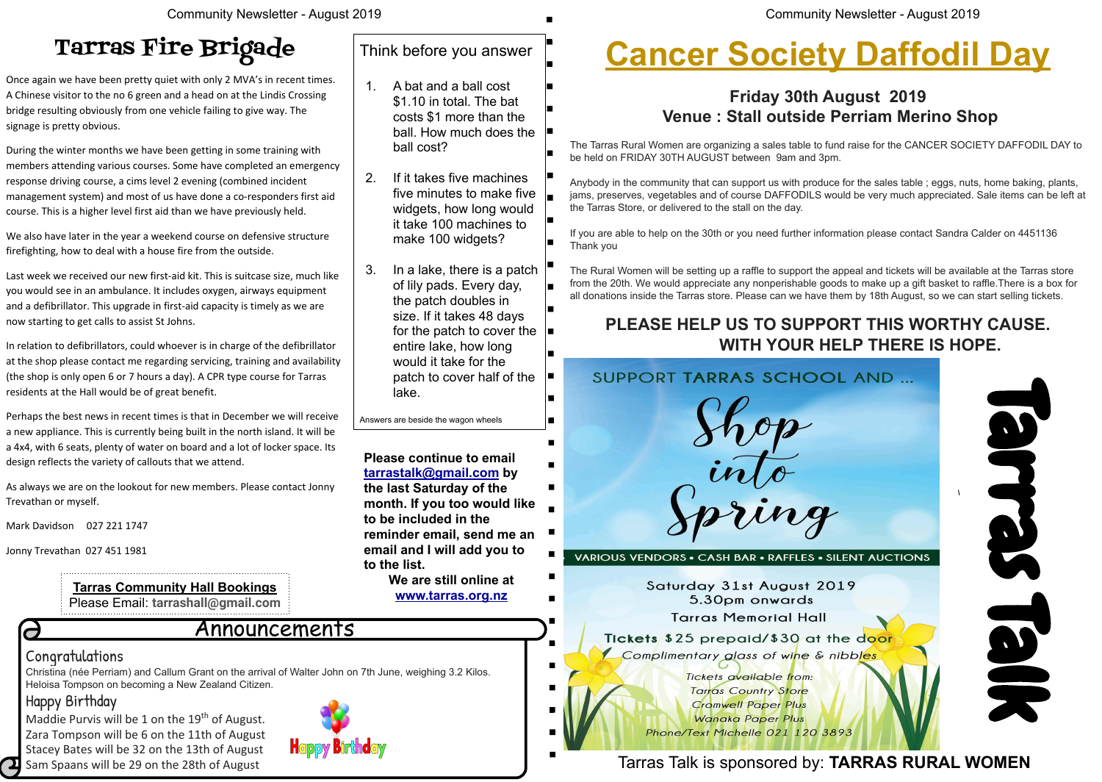Christina (née Perriam) and Callum Grant on the arrival of Walter John on 7th June, weighing 3.2 Kilos. Heloisa Tompson on becoming a New Zealand Citizen.

#### Happy Birthday

Maddie Purvis will be 1 on the  $19<sup>th</sup>$  of August. Zara Tompson will be 6 on the 11th of August Stacey Bates will be 32 on the 13th of August Sam Spaans will be 29 on the 28th of August

# **H** appy Birth day

Community Newsletter - August 2019

#### Announcements

#### **Congratulations**

 $\overline{\mathbf{C}}$ 

**Please continue to email [tarrastalk@gmail.com](mailto:tarrastalk@gmail.com) by the last Saturday of the month. If you too would like to be included in the reminder email, send me an email and I will add you to to the list.** 

**We are still online at [www.tarras.org.nz](http://www.tarras.org.nz)**

Tarras Talk is sponsored by: **TARRAS RURAL WOMEN**

**Tarras Community Hall Bookings** Please Email: **tarrashall@gmail.com**



# **Cancer Society Daffodil Day**

#### **Friday 30th August 2019 Venue : Stall outside Perriam Merino Shop**

The Tarras Rural Women are organizing a sales table to fund raise for the CANCER SOCIETY DAFFODIL DAY to be held on FRIDAY 30TH AUGUST between 9am and 3pm.

Anybody in the community that can support us with produce for the sales table ; eggs, nuts, home baking, plants, jams, preserves, vegetables and of course DAFFODILS would be very much appreciated. Sale items can be left at the Tarras Store, or delivered to the stall on the day.

If you are able to help on the 30th or you need further information please contact Sandra Calder on 4451136 Thank you

The Rural Women will be setting up a raffle to support the appeal and tickets will be available at the Tarras store from the 20th. We would appreciate any nonperishable goods to make up a gift basket to raffle.There is a box for all donations inside the Tarras store. Please can we have them by 18th August, so we can start selling tickets.

#### **PLEASE HELP US TO SUPPORT THIS WORTHY CAUSE. WITH YOUR HELP THERE IS HOPE.**

#### Think before you answer

- 1. A bat and a ball cost \$1.10 in total. The bat costs \$1 more than the ball. How much does the ball cost?
- 2. If it takes five machines five minutes to make five widgets, how long would it take 100 machines to make 100 widgets?
- 3. In a lake, there is a patch of lily pads. Every day, the patch doubles in size. If it takes 48 days for the patch to cover the entire lake, how long would it take for the patch to cover half of the lake.

Answers are beside the wagon wheels

# Tarras Fire Brigade

Once again we have been pretty quiet with only 2 MVA's in recent times. A Chinese visitor to the no 6 green and a head on at the Lindis Crossing bridge resulting obviously from one vehicle failing to give way. The signage is pretty obvious.

During the winter months we have been getting in some training with members attending various courses. Some have completed an emergency response driving course, a cims level 2 evening (combined incident management system) and most of us have done a co-responders first aid course. This is a higher level first aid than we have previously held.

We also have later in the year a weekend course on defensive structure firefighting, how to deal with a house fire from the outside.

Last week we received our new first-aid kit. This is suitcase size, much like you would see in an ambulance. It includes oxygen, airways equipment and a defibrillator. This upgrade in first-aid capacity is timely as we are now starting to get calls to assist St Johns.

In relation to defibrillators, could whoever is in charge of the defibrillator at the shop please contact me regarding servicing, training and availability (the shop is only open 6 or 7 hours a day). A CPR type course for Tarras residents at the Hall would be of great benefit.

Perhaps the best news in recent times is that in December we will receive a new appliance. This is currently being built in the north island. It will be a 4x4, with 6 seats, plenty of water on board and a lot of locker space. Its design reflects the variety of callouts that we attend.

As always we are on the lookout for new members. Please contact Jonny Trevathan or myself.

Mark Davidson 027 221 1747

Jonny Trevathan 027 451 1981